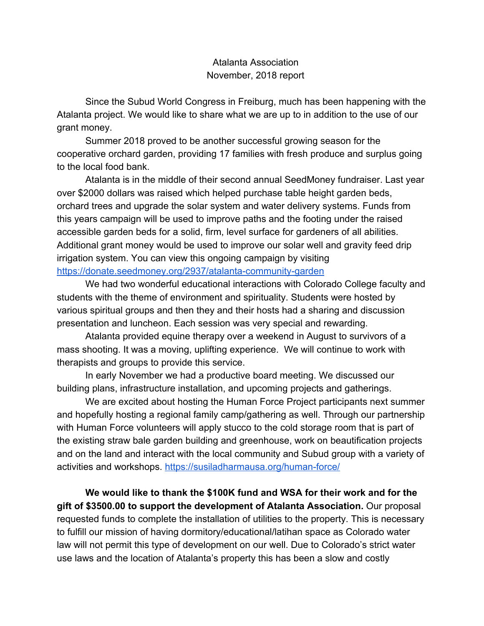## Atalanta Association November, 2018 report

Since the Subud World Congress in Freiburg, much has been happening with the Atalanta project. We would like to share what we are up to in addition to the use of our grant money.

Summer 2018 proved to be another successful growing season for the cooperative orchard garden, providing 17 families with fresh produce and surplus going to the local food bank.

Atalanta is in the middle of their second annual SeedMoney fundraiser. Last year over \$2000 dollars was raised which helped purchase table height garden beds, orchard trees and upgrade the solar system and water delivery systems. Funds from this years campaign will be used to improve paths and the footing under the raised accessible garden beds for a solid, firm, level surface for gardeners of all abilities. Additional grant money would be used to improve our solar well and gravity feed drip irrigation system. You can view this ongoing campaign by visiting <https://donate.seedmoney.org/2937/atalanta-community-garden>

We had two wonderful educational interactions with Colorado College faculty and students with the theme of environment and spirituality. Students were hosted by various spiritual groups and then they and their hosts had a sharing and discussion presentation and luncheon. Each session was very special and rewarding.

Atalanta provided equine therapy over a weekend in August to survivors of a mass shooting. It was a moving, uplifting experience. We will continue to work with therapists and groups to provide this service.

In early November we had a productive board meeting. We discussed our building plans, infrastructure installation, and upcoming projects and gatherings.

We are excited about hosting the Human Force Project participants next summer and hopefully hosting a regional family camp/gathering as well. Through our partnership with Human Force volunteers will apply stucco to the cold storage room that is part of the existing straw bale garden building and greenhouse, work on beautification projects and on the land and interact with the local community and Subud group with a variety of activities and workshops.<https://susiladharmausa.org/human-force/>

**We would like to thank the \$100K fund and WSA for their work and for the gift of \$3500.00 to support the development of Atalanta Association.** Our proposal requested funds to complete the installation of utilities to the property. This is necessary to fulfill our mission of having dormitory/educational/latihan space as Colorado water law will not permit this type of development on our well. Due to Colorado's strict water use laws and the location of Atalanta's property this has been a slow and costly